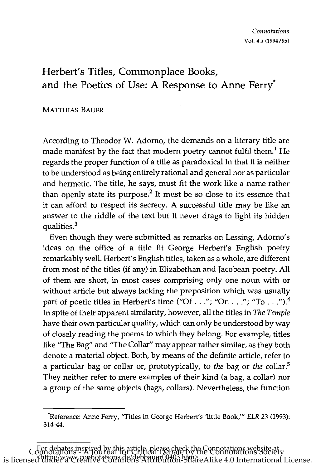## Herbert's Titles, Commonplace Books, and the Poetics of Use: A Response to Anne Ferry"

## **MATTHIAS BAUER**

\_\_\_\_\_\_\_\_\_\_\_\_\_\_\_

According to Theodor W. Adomo, the demands on a literary title are made manifest by the fact that modern poetry cannot fulfil them.<sup>1</sup> He regards the proper function of a title as paradoxical in that it is neither to be understood as being entirely rational and general nor as particular and hermetic. The title, he says, must fit the work like a name rather than openly state its purpose.<sup>2</sup> It must be so close to its essence that it can afford to respect its secrecy. A successful title may be like an answer to the riddle of the text but it never drags to light its hidden qualities.<sup>3</sup>

Even though they were submitted as remarks on Lessing, Adomo's ideas on the office of a title fit George Herbert's English poetry remarkably well. Herbert's English titles, taken as a whole, are different from most of the titles (if any) in Elizabethan and Jacobean poetry. All of them are short, in most cases comprising only one noun with or without article but always lacking the preposition which was usually part of poetic titles in Herbert's time ("Of . . ."; "On . . ."; "To . . .").<sup>4</sup> In spite of their apparent similarity, however, all the titles in *The Temple*  have their own particular quality, which can only be understood by way of closely reading the poems to which they belong. For example, titles like "The Bag" and "The Collar" may appear rather similar, as they both denote a material object. Both, by means of the definite article, refer to a particular bag or collar or, prototypically, to *the* bag or *the* collar.5 They neither refer to mere examples of their kind (a bag, a collar) nor a group of the same objects (bags, collars). Nevertheless, the function

<sup>&#</sup>x27;Reference: Anne Ferry, "Titles in George Herbert's 'little Book,'" *ELR* 23 (1993): 314-44.

For debates inspired by this article, please check the Connotations website at Connotations - A Journal for Critical Debate by the Connotations Society is licensed under a Creative Commons Attribution-ShareAlike 4.0 International License.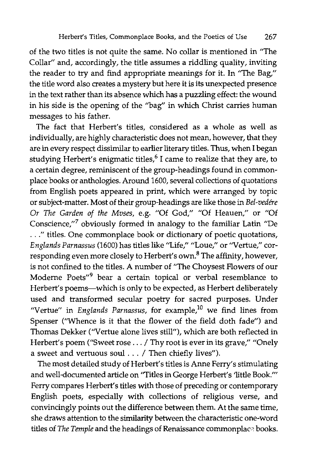of the two titles is not quite the same. No collar is mentioned in "The Collar" and, accordingly, the title assumes a riddling quality, inviting the reader to try and find appropriate meanings for it. In "The Bag," the title word also creates a mystery but here it is its unexpected presence in the text rather than its absence which has a puzzling effect: the wound in his side is the opening of the "bag" in which Christ carries human messages to his father.

The fact that Herbert's titles, considered as a whole as well as individually, are highly characteristic does not mean, however, that they are in every respect dissimilar to earlier literary titles. Thus, when I began studying Herbert's enigmatic titles,<sup>6</sup> I came to realize that they are, to a certain degree, reminiscent of the group-headings found in commonplace books or anthologies. Around 1600, several collections of quotations from English poets appeared in print, which were arranged by topic or subject-matter. Most of their group-headings are like those in *Bel-vedere Or The Garden of the Mvses,* e.g. "Of God," "Of Heauen," or "Of Conscience,"<sup>7</sup> obviously formed in analogy to the familiar Latin "De ... " titles. One commonplace book or dictionary of poetic quotations, Englands Parnassus (1600) has titles like "Life," "Loue," or "Vertue," corresponding even more closely to Herbert's own.<sup>8</sup> The affinity, however, is not confined to the titles. A number of "The Choysest Flowers of our Moderne Poets"<sup>9</sup> bear a certain topical or verbal resemblance to Herbert's poems-which is only to be expected, as Herbert deliberately used and transformed secular poetry for sacred purposes. Under "Vertue" in *Englands Parnassus*, for example,<sup>10</sup> we find lines from Spenser ('Whence is it that the flower of the field doth fade") and Thomas Dekker (''Vertue alone lives still"), which are both reflected in Herbert's poem ("Sweet rose . . . / Thy root is ever in its grave," "Onely a sweet and vertuous soul ... / Then chiefly lives").

The most detailed study of Herbert's titles is Anne Ferry's stimulating and well-documented article on ''Titles in George Herbert's 'little Book.'" Ferry compares Herbert's titles with those of preceding or contemporary English poets, especially with collections of religious verse, and convincingly points out the difference between them. At the same time, she draws attention to the similarity between the characteristic one-word titles of *The Temple* and the headings of Renaissance commonplace books.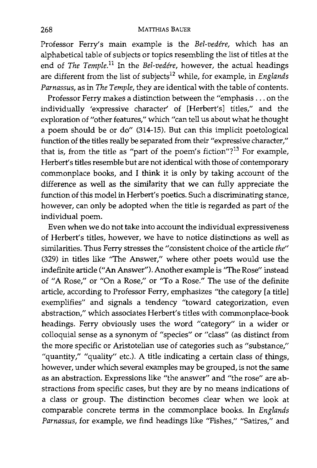Professor Ferry's main example is the *Bel-vedere,* which has an alphabetical table of subjects or topics resembling the list of titles at the end of *The Temple.*<sup>11</sup> In the *Bel-vedére*, however, the actual headings are different from the list of subjects<sup>12</sup> while, for example, in *Englands Parnassus,* as in *The Temple,* they are identical with the table of contents.

Professor Ferry makes a distinction between the "emphasis ... on the individually 'expressive character' of [Herbert's] titles," and the exploration of "other features," which "can tell us about what he thought a poem should be or do" (314-15). But can this implicit poetological function of the titles really be separated from their "expressive character," that is, from the title as "part of the poem's fiction"? $13$  For example, Herbert's titles resemble but are not identical with those of contemporary commonplace books, and I think it is only by taking account of the difference as well as the similarity that we can fully appreciate the function of this model in Herbert's poetics. Such a discriminating stance, however, can only be adopted when the title is regarded as part of the individual poem.

Even when we do not take into account the individual expressiveness of Herbert's titles, however, we have to notice distinctions as well as similarities. Thus Ferry stresses the "consistent choice of the article *the"*  (329) in titles like "The Answer," where other poets would use the indefinite article ("An Answer"). Another example is "The Rose" instead of "A Rose," or "On a Rose," or "To a Rose." The use of the definite article, according to Professor Ferry, emphasizes "the category [a title] exemplifies" and signals a tendency "toward categorization, even abstraction," which associates Herbert's titles with commonplace-book headings. Ferry obviously uses the word "category" in a wider or colloquial sense as a synonym of "species" or "class" (as distinct from the more specific or Aristotelian use of categories such as "substance," "quantity," "quality" etc.). A title indicating a certain class of things, however, under which several examples may be grouped, is not the same as an abstraction. Expressions like "the answer" and "the rose" are abstractions from specific cases, but they are by no means indications of a class or group. The distinction becomes clear when we look at comparable concrete terms in the commonplace books. In *Englands*  Parnassus, for example, we find headings like "Fishes," "Satires," and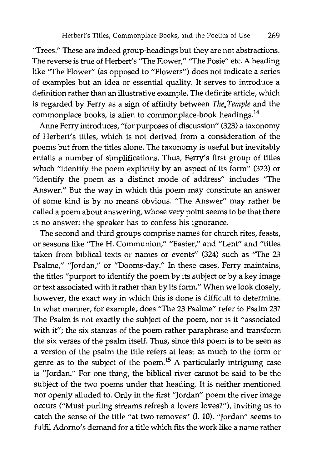"Trees." These are indeed group-headings but they are not abstractions. The reverse is true of Herbert's "The Flower," "The Posie" etc. A heading like "The Flower" (as opposed to "Flowers") does not indicate a series of examples but an idea or essential quality. It serves to introduce a definition rather than an illustrative example. The definite article, which is regarded by Ferry as a sign of affinity between *The. Temple* and the commonplace books, is alien to commonplace-book headings.<sup>14</sup>

Anne Ferry introduces, "for purposes of discussion" (323) a taxonomy of Herbert's titles, which is not derived from a consideration of the poems but from the titles alone. The taxonomy is useful but inevitably entails a number of simplifications. Thus, Ferry's first group of titles which "identify the poem explicitly by an aspect of its form" (323) or "identify the poem as a distinct mode of address" includes "The Answer." But the way in which this poem may constitute an answer of some kind is by no means obvious. "The Answer" may rather be called a poem about answering, whose very point seems to be that there is no answer: the speaker has to confess his ignorance.

The second and third groups comprise names for church rites, feasts, or seasons like "The H. Communion," "Easter," and "Lent" and "titles taken from biblical texts or names or events" (324) such as "The 23 Psalme," "Jordan," or "Dooms-day." In these cases, Ferry maintains, the titles "purport to identify the poem by its subject or by a key image or text associated with it rather than by its form." When we look closely, however, the exact way in which this is done is difficult to determine. In what manner, for example, does "The 23 Psalme" refer to Psalm 23? The Psalm is not exactly the subject of the poem, nor is it "associated with it"; the six stanzas of the poem rather paraphrase and transform the six verses of the psalm itself. Thus, since this poem is to be seen as a version of the psalm the title refers at least as much to the form or genre as to the subject of the poem.<sup>15</sup> A particularly intriguing case is "Jordan." For one thing, the biblical river cannot be said to be the subject of the two poems under that heading. It is neither mentioned nor openly alluded to. Only in the first "Jordan" poem the river image occurs ("Must purling streams refresh a lovers loves?"), inviting us to catch the sense of the title "at two removes" (1. 10). "Jordan" seems to fulfil Adomo's demand for a title which fits the work like a name rather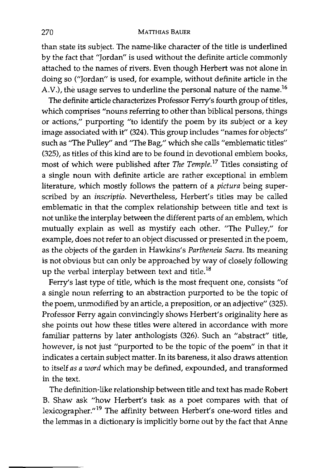## 270 MATTHIAS BAUER

than state its subject. The name-like character of the title is underlined by the fact that "Jordan" is used without the definite article commonly attached to the names of rivers. Even though Herbert was not alone in doing so ("Jordan" is used, for example, without definite article in the A.V.), the usage serves to underline the personal nature of the name.<sup>16</sup>

The definite article characterizes Professor Ferry's fourth group of titles, which comprises "nouns referring to other than biblical persons, things or actions," purporting "to identify the poem by its subject or a key image associated with it" (324). This group includes "names for objects" such as "The Pulley" and "The Bag," which she calls "emblematic titles" (325), as titles of this kind are to be found in devotional emblem books, most of which were published after *The Temple. <sup>17</sup>*Titles consisting of a single noun with definite article are rather exceptional in emblem literature, which mostly follows the pattern of a *pictura* being superscribed by an *inscriptio.* Nevertheless, Herbert's titles may be called emblematic in that the complex relationship between title and text is not unlike the interplay between the different parts of an emblem, which mutually explain as well as mystify each other. "The Pulley," for example, does not refer to an object discussed or presented in the poem, as the objects of the garden in Hawkins's *Partheneia Sacra.* Its meaning is not obvious but can only be approached by way of closely following up the verbal interplay between text and title.<sup>18</sup>

Ferry's last type of title, which is the most frequent one, consists "of a single noun referring to an abstraction purported to be the topic of the poem, unmodified by an article, a preposition, or an adjective" (325). Professor Ferry again convincingly shows Herbert's originality here as she points out how these titles were altered in accordance with more familiar patterns by later anthologists (326). Such an "abstract" title, however, is not just "purported to be the topic of the poem" in that it indicates a certain subject matter. In its bareness, it also draws attention to itself *as a word* which may be defined, expounded, and transformed in the text.

The definition-like relationship between title and text has made Robert B. Shaw ask "how Herbert's task as a poet compares with that of lexicographer."<sup>19</sup> The affinity between Herbert's one-word titles and the lemmas in a dictionary is implicitly borne out by the fact that Anne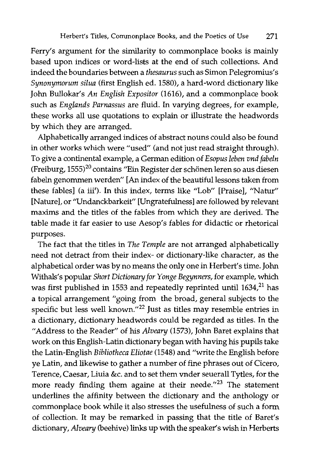Ferry's argument for the similarity to commonplace books is mainly based upon indices or word-lists at the end of such collections. And indeed the boundaries between a *thesaurus* such as Simon Pelegromius's *Synonymorum silua* (first English ed. 1580), a hard-word dictionary like John Bullokar's *An English Expositor* (1616), and a commonplace book such as *Englands Parnassus* are fluid. In varying degrees, for example, these works all use quotations to explain or illustrate the headwords by which they are arranged.

Alphabetically arranged indices of abstract nouns could also be found in other works which were "used" (and not just read straight through). To give a continental example, a German edition of *Esopus leben vnd fabeln*  (Freiburg, 1555)<sup>20</sup> contains "Ein Register der schönen leren so aus diesen fabeln genommen werden" [An index of the beautiful lessons taken from these fables] (a iii'). In this index, terms like "Lob" [Praise], "Natur" [Nature], or "Undanckbarkeit" [Ungratefulness] are followed by relevant maxims and the titles of the fables from which they are derived. The table made it far easier to use Aesop's fables for didactic or rhetorical purposes.

The fact that the titles in *The Temple* are not arranged alphabetically need not detract from their index- or dictionary-like character, as the alphabetical order was by no means the only one in Herbert's time. John Withals's popular *Short Dictionary for Yonge Begynners,* for example, which was first published in 1553 and repeatedly reprinted until 1634,<sup>21</sup> has a topical arrangement "going from the broad, general subjects to the specific but less well known."<sup>22</sup> Just as titles may resemble entries in a dictionary, dictionary headwords could be regarded as titles. In the "Address to the Reader" of his *Alveary* (1573), John Baret explains that work on this English-Latin dictionary began with having his pupils take the Latin-English *Bibliotheca Eliotae* (1548) and "write the English before ye Latin, and likewise to gather a number of fine phrases out of Cicero, Terence, Caesar, Liuia &c. and to set them vnder seuerall Tytles, for the more ready finding them againe at their neede. $123$  The statement underlines the affinity between the dictionary and the anthology or commonplace book while it also stresses the usefulness of such a form of collection. It may be remarked in passing that the title of Baret's dictionary, *Alveary* (beehive) links up with the speaker's wish in Herberts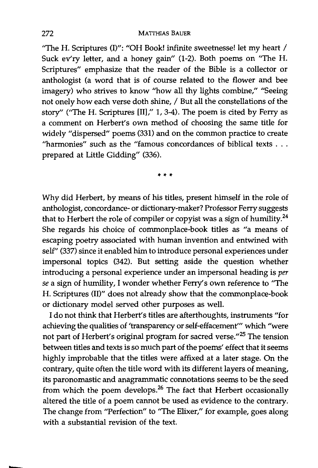"The H. Scriptures (I)": "OH Book! infinite sweetnesse! let my heart / Suck ev'ry letter, and a honey gain" (1-2). Both poems on "The H. Scriptures" emphasize that the reader of the Bible is a collector or anthologist (a word that is of course related to the flower and bee imagery) who strives to know "how all thy lights combine," "Seeing not onely how each verse doth shine, / But all the constellations of the story" ("The H. Scriptures [11]," 1,3-4). The poem is cited by Ferry as a comment on Herbert's own method of choosing the same title for widely "dispersed" poems (331) and on the common practice to create "harmonies" such as the "famous concordances of biblical texts . . . prepared at Little Gidding" (336).

\*\*\*

Why did Herbert, by means of his titles, present himself in the role of anthologist, concordance- or dictionary-maker? Professor Ferry suggests that to Herbert the role of compiler or copyist was a sign of humility.<sup>24</sup> She regards his choice of commonplace-book titles as "a means of escaping poetry associated with human invention and entwined with self" (337) since it enabled him to introduce personal experiences under impersonal topics (342). But setting aside the question whether introd ucing a personal experience under an impersonal heading is *per se* a sign of humility, I wonder whether Ferry's own reference to "The H. Scriptures (11)" does not already show that the commonplace-book or dictionary model served other purposes as well.

I do not think that Herbert's titles are afterthoughts, instruments "for achieving the qualities of 'transparency or self-effacement''' which "were not part of Herbert's original program for sacred verse."<sup>25</sup> The tension between titles and texts is so much part of the poems' effect that it seems highly improbable that the titles were affixed at a later stage. On the contrary, quite often the title word with its different layers of meaning, its paronomastic and anagrammatic connotations seems to be the seed from which the poem develops.26 The fact that Herbert occasionally altered the title of a poem cannot be used as evidence to the contrary. The change from "Perfection" to "The Elixer," for example, goes along with a substantial revision of the text.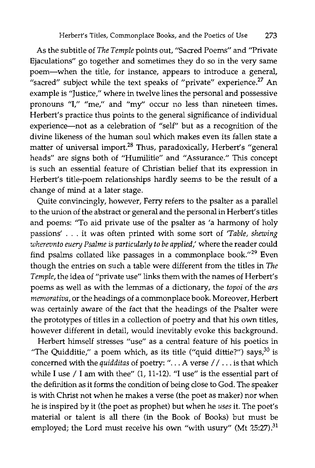As the subtitle of *The Temple* points out, "Sacred Poems" and "Private Ejaculations" go together and sometimes they do so in the very same poem-when the title, for instance, appears to introduce a general, "sacred" subject while the text speaks of "private" experience. $^{27}$  An example is "Justice," where in twelve lines the personal and possessive pronouns "I," "me," and "my" occur no less than nineteen times. Herbert's practice thus points to the general significance of individual experience-not as a celebration of "self" but as a recognition of the divine likeness of the human soul which makes even its fallen state a matter of universal import.<sup>28</sup> Thus, paradoxically, Herbert's "general heads" are signs both of "Humilitie" and "Assurance." This concept is such an essential feature of Christian belief that its expression in Herbert's title-poem relationships hardly seems to be the result of a change of mind at a later stage.

Quite convincingly, however, Ferry refers to the psalter as a parallel to the union of the abstract or general and the personal in Herbert's titles and poems: "To aid private use of the psalter as 'a harmony of holy passions' ... it was often printed with some sort of *'Table, shewing wherevnta euery Psalme* is *particularly to be applied,'* where the reader could find psalms collated like passages in a commonplace book."29 Even though the entries on such a table were different from the titles in *The Temple,* the idea of "private use" links them with the names of Herbert's poems as well as with the lemmas of a dictionary, the *tapai* of the *ars memarativa,* or the headings of a commonplace book. Moreover, Herbert was certainly aware of the fact that the headings of the Psalter were the prototypes of titles in a collection of poetry and that his own titles, however different in detail, would inevitably evoke this background.

Herbert himself stresses "use" as a central feature of his poetics in "The Quidditie," a poem which, as its title ("quid dittie?") says, $30$  is concerned with the *quidditas* of poetry: "... A verse // ... is that which while I use / I am with thee" (1, 11-12). "I use" is the essential part of the definition as it forms the condition of being dose to God. The speaker is with Christ not when he makes a verse (the poet as maker) nor when he is inspired by it (the poet as prophet) but when he *uses* it. The poet's material or talent is all there (in the Book of Books) but must be employed; the Lord must receive his own "with usury" (Mt 25:27).<sup>31</sup>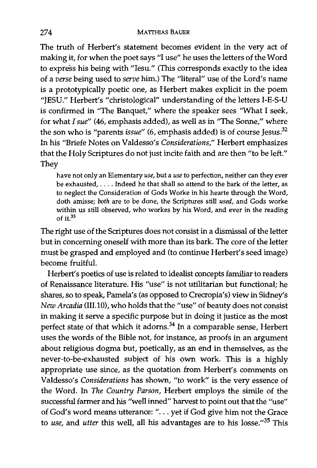The truth of Herbert's statement becomes evident in the very act of making it, for when the poet says "I use" he uses the letters of the Word to express his being with "Iesu." (This corresponds exactly to the idea of a *verse* being used to *serve* him.) The "literal" use of the Lord's name is a prototypically poetic one, as Herbert makes explicit in the poem "JESU." Herbert's "christological" understanding of the letters I-E-S-U is confirmed in "The Banquet," where the speaker sees "What I seek, for what *I sue"* (46, emphasis added), as well as in "The Sonne/' where the son who is "parents *issue"* (6, emphasis added) is of course Jesus.<sup>32</sup> In his "Briefe Notes on Valdesso's *Considerations/'* Herbert emphasizes that the Holy Scriptures do not just incite faith and are then "to be left." They

have not only an Elementary *use,* but a *use* to perfection, neither can they ever be exhausted, .... Indeed he that shall so attend to the bark of the letter, as to neglect the Consideration of Gods Worke in his hearte through the Word, doth arnisse; *both* are to be done, the Scriptures still *used,* and Gods worke within us still observed, who workes by his Word, and ever in the reading of it. $33$ 

The right use of the Scriptures does not consist in a dismissal of the letter but in concerning oneself with more than its bark. The core of the letter must be grasped and employed and (to continue Herbert's seed image) become fruitful.

Herbert's poetics of use is related to idealist concepts familiar to readers of Renaissance literature. His "use" is not utilitarian but functional; he shares, so to speak, Pamela's (as opposed to Crecropia's) view in Sidney's *New Arcadia* (III.10), who holds that the "use" of beauty does not consist in making it serve a specific purpose but in doing it justice as the most perfect state of that which it adorns.34 In a comparable sense, Herbert uses the words of the Bible not, for instance, as proofs in an argument about religious dogma but, poetically, as an end in themselves, as the never-to-be-exhausted subject of his own work. This is a highly appropriate use since, as the quotation from Herbert's comments on Valdesso's *Considerations* has shown, "to work" is the very essence of the Word. In The *Country Parson,* Herbert employs the simile of the successful farmer and his "well inned" harvest to point out that the "use" of God's word means utterance: " ... yet if God give him not the Grace to *use*, and *utter* this well, all his advantages are to his losse."<sup>35</sup> This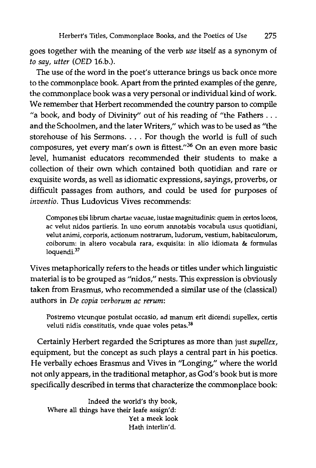goes together with the meaning of the verb *use* itself as a synonym of *to say, utter (OED* 16.b.).

The use of the word in the poet's utterance brings us back once more to the commonplace book. Apart from the printed examples of the genre, the commonplace book was a very personal or individual kind of work. We remember that Herbert recommended the country parson to compile "a book, and body of Divinity" out of his reading of "the Fathers  $\dots$ and the Schoolmen, and the later Writers," which was to be used as "the storehouse of his Sermons. . . . For though the world is full of such composures, yet every man's own is fittest."<sup>36</sup> On an even more basic level, humanist educators recommended their students to make a collection of their own which contained both quotidian and rare or exquisite words, as well as idiomatic expressions, sayings, proverbs, or difficult passages from authors, and could be used for purposes of *inventio.* Thus Ludovicus Vives recommends:

Compones tibi librum chartae vacuae, iustae magnitudinis: quem in certos locos, ac velut nidos partieris. In uno eorum annotabis vocabula usus quotidiani, velut animi, corporis, actionum nostrarum, ludorum, vestium, habitaculorum, coiborum: in altero vocabula rara, exquisita: in alio idiomata & formulas loquendi.<sup>37</sup>

Vives metaphorically refers to the heads or titles under which linguistic material is to be grouped as "nidos," nests. This expression is obviously taken from Erasmus, who recommended a similar use of the (classical) authors in *De copia verborum ac rerum:* 

Postremo vtcunque postulat occasio, ad manum erit dicendi supellex, certis veluti nidis constitutis, vnde quae voles petas.<sup>38</sup>

Certainly Herbert regarded the Scriptures as more than just *supellex*, equipment, but the concept as such plays a central part in his poetics. He verbally echoes Erasmus and Vives in "Longing," where the world not only appears, in the traditional metaphor, as God's book but is more specifically described in terms that characterize the commonplace book:

Indeed the world's thy book, Where all things have their leafe assign'd: Yet a meek look Hath interlin'd.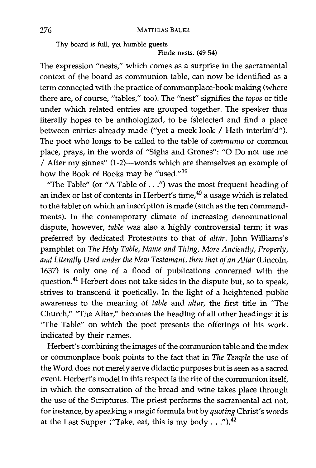Thy board is full, yet humble guests

Finde nests. (49-54)

The expression "nests," which comes as a surprise in the sacramental context of the board as communion table, can now be identified as a term connected with the practice of commonplace-book making (where there are, of course, "tables," too). The "nest" signifies the *topos* or title under which related entries are grouped together. The speaker thus literally hopes to be anthologized, to be (s)elected and find a place between entries already made ("yet a meek look / Hath interlin'd"). The poet who longs to be called to the table of *communio* or common place, prays, in the words of "Sighs and Grones": "0 Do not use me / After my sinnes" (l-2)-words which are themselves an example of how the Book of Books may be "used." $39$ 

''The Table" (or "A Table of ... ") was the most frequent heading of an index or list of contents in Herbert's time,<sup>40</sup> a usage which is related to the tablet on which an inscription is made (such as the ten commandments). **In** the contemporary climate of increasing denominational dispute, however, *table* was also a highly controversial term; it was preferred by dedicated Protestants to that of *altar.* John Williams's pamphlet on *The Holy Table, Name and Thing, More Anciently, Properly, and Literally Used under the New Testamant, then that of an Altar* (Lincoln, 1637) is only one of a flood of publications concerned with the question.<sup>41</sup> Herbert does not take sides in the dispute but, so to speak, strives to transcend it poetically. **In** the light of a heightened public awareness to the meaning of *table* and *altar,* the first title in "The Church," "The Altar," becomes the heading of all other headings: it is "The Table" on which the poet presents the offerings of his work, indicated by their names.

Herbert's combining the images of the communion table and the index or commonplace book points to the fact that in *The Temple* the use of the Word does not merely serve didactic purposes but is seen as a sacred event. Herbert's model in this respect is the rite of the communion itself, in which the consecration of the bread and wine takes place through the use of the Scriptures. The priest performs the sacramental act not, for instance, by speaking a magic formula but by *quoting* Christ's words at the Last Supper ("Take, eat, this is my body . . .").<sup>42</sup>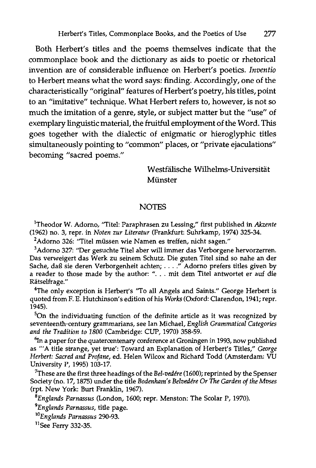Both Herbert's titles and the poems themselves indicate that the commonplace book and the dictionary as aids to poetic or rhetorical invention are of considerable influence on Herbert's poetics. *Inventio* to Herbert means what the word says: finding. Accordingly, one of the characteristically "original" features of Herbert's poetry, his titles, point to an "imitative" technique. What Herbert refers to, however, is not so much the imitation of a genre, style, or subject matter but the "use" of exemplary linguistic material, the fruitful employment of the Word. This goes together with the dialectic of enigmatic or hieroglyphic titles simultaneously pointing to "common" places, or "private ejaculations" becoming "sacred poems."

> Westfälische Wilhelms-Universität Münster

## **NOTES**

lTheodor W. Adorno, "Titel: Paraphrasen zu Lessing," first published in *Akzente*  (1962) no. 3, repr. in *Noten zur Literatur* (Frankfurt: Suhrkamp, 1974) 325-34.

<sup>2</sup>Adorno 326: "Titel müssen wie Namen es treffen, nicht sagen."

3 Adorno 327: "Der gesuchte Titel aber will immer das Verborgene hervorzerren. Das verweigert das Werk zu seinem Schutz. Die guten Titel sind so nahe an der Sache, daB sie deren Verborgenheit achten; .... " Adorno prefers titles given by a reader to those made by the author: "... mit dem Titel antwortet er auf die Ratselfrage."

<sup>4</sup>The only exception is Herbert's "To all Angels and Saints." George Herbert is quoted from F. E. Hutchinson's edition of his *Works* (Oxford: Clarendon, 1941; repr.  $1945$ ).

 $5$ On the individuating function of the definite article as it was recognized by seventeenth-century grammarians, see Ian Michael, *English Grammatical Categories and the Tradition to 1800* (Cambridge: CUP, 1970) 358-59.

 $^{6}$ In a paper for the quatercentenary conference at Groningen in 1993, now published as "'A title strange, yet true': Toward an Explanation of Herbert's Titles," *George Herbert: Sacred and Profane,* ed. Helen Wilcox and Richard Todd (Amsterdam: VU University P, 1995) 103-17.

7These are the first three headings of the *Bel-vedere* (1600); reprinted by the Spenser Society (no. 17, 1875) under the title *Bodenham's Belvedere Or The Garden of the Mvses*  (rpt. New York: Burt Franklin, 1967).

*BEnglands Parnassus* (London, 1600; repr. Menston: The Scolar P, 1970).

*9Englands Parnassus,* title page.

*lOEnglands Parnassus 290-93.* 

<sup>11</sup>See Ferry 332-35.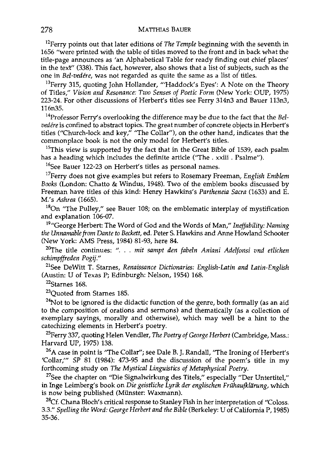12Ferry points out that later editions of *The Temple* beginning with the seventh in 1656 "were printed with the table of titles moved to the front and in back what the title-page announces as 'an Alphabetical Table for ready finding out chief places' in the text" (338). This fact, however, also shows that a list of subjects, such as the one in *Bel-vedere,* was not regarded as quite the same as a list of titles.

<sup>13</sup>Ferry 315, quoting John Hollander, "'Haddock's Eyes': A Note on the Theory of Titles," *Vision and Resonance: Two Senses of Poetic Form* (New York: OUP, 1975) 223-24. For other discussions of Herberfs titles see Ferry 314n3 and Bauer 113n3, 116n35.

14Professor Ferry's overlooking the difference may be due to the fact that the *Bel*vedére is confined to abstract topics. The great number of concrete objects in Herbert's titles ("Church-lock and key," "The Collar"), on the other hand, indicates that the commonplace book is not the only model for Herbert's titles.

 $15$ This view is supported by the fact that in the Great Bible of 1539, each psalm has a heading which includes the definite article ("The. xxiii. Psalme").

<sup>16</sup>See Bauer 122-23 on Herbert's titles as personal names.

<sup>17</sup>Ferry does not give examples but refers to Rosemary Freeman, *English Emblem Books* (London: Chatto & Windus, 1948). Two of the emblem books discussed by Freeman have titles of this kind: Henry Hawkins's *Partheneia Sacra* (1633) and E. M.'s *Ashrea* (1665).

<sup>18</sup>On "The Pulley," see Bauer 108; on the emblematic interplay of mystification and explanation 106-07.

J9"George Herbert: The Word of God and the Words of Man," *Ineffability: Naming the Un namable from Dante to Beckett,* ed. Peter S. Hawkins and Anne Howland Schooter (New York: AMS Press, 1984) 81-93, here 84.

<sup>20</sup>The title continues: ". . . mit sampt den fabeln Aniani Adelfonsi vnd etlichen *schimpffreden Pogij."* 

21See DeWitt T. Starnes, *Renaissance Dictionaries: English-Latin and Latin-English*  (Austin: U of Texas P; Edinburgh: Nelson, 1954) 168.

 $22$ Starnes 168.

<sup>23</sup>Quoted from Starnes 185.

 $24$ Not to be ignored is the didactic function of the genre, both formally (as an aid to the composition of orations and sermons) and thematically (as a collection of exemplary sayings, morally and otherwise), which may well be a hint to the catechizing elements in Herbert's poetry.

2SFerry 337, quoting Helen Vendler, *The Poetry of George Herbert* (Cambridge, Mass.: Harvard UP, 1975) 138.

<sup>26</sup>A case in point is "The Collar"; see Dale B. J. Randall, "The Ironing of Herbert's 'Collar,'" SP 81 (1984): 473-95 and the discussion of the poem's title in my forthcoming study on *The Mystical Linguistics of Metaphysical Poetry.* 

<sup>27</sup>See the chapter on "Die Signalwirkung des Titels," especially "Der Untertitel," in Inge Leimberg's book on *Die geistliche Lyrik der englischen Frahaufkliirung,* which is now being published (Münster: Waxmann).

<sup>28</sup>Cf. Chana Bloch's critical response to Stanley Fish in her interpretation of "Coloss. *3.3." Spelling the Word: George Herbert and the Bible* (Berkeley: U of California P, 1985) 35-36.